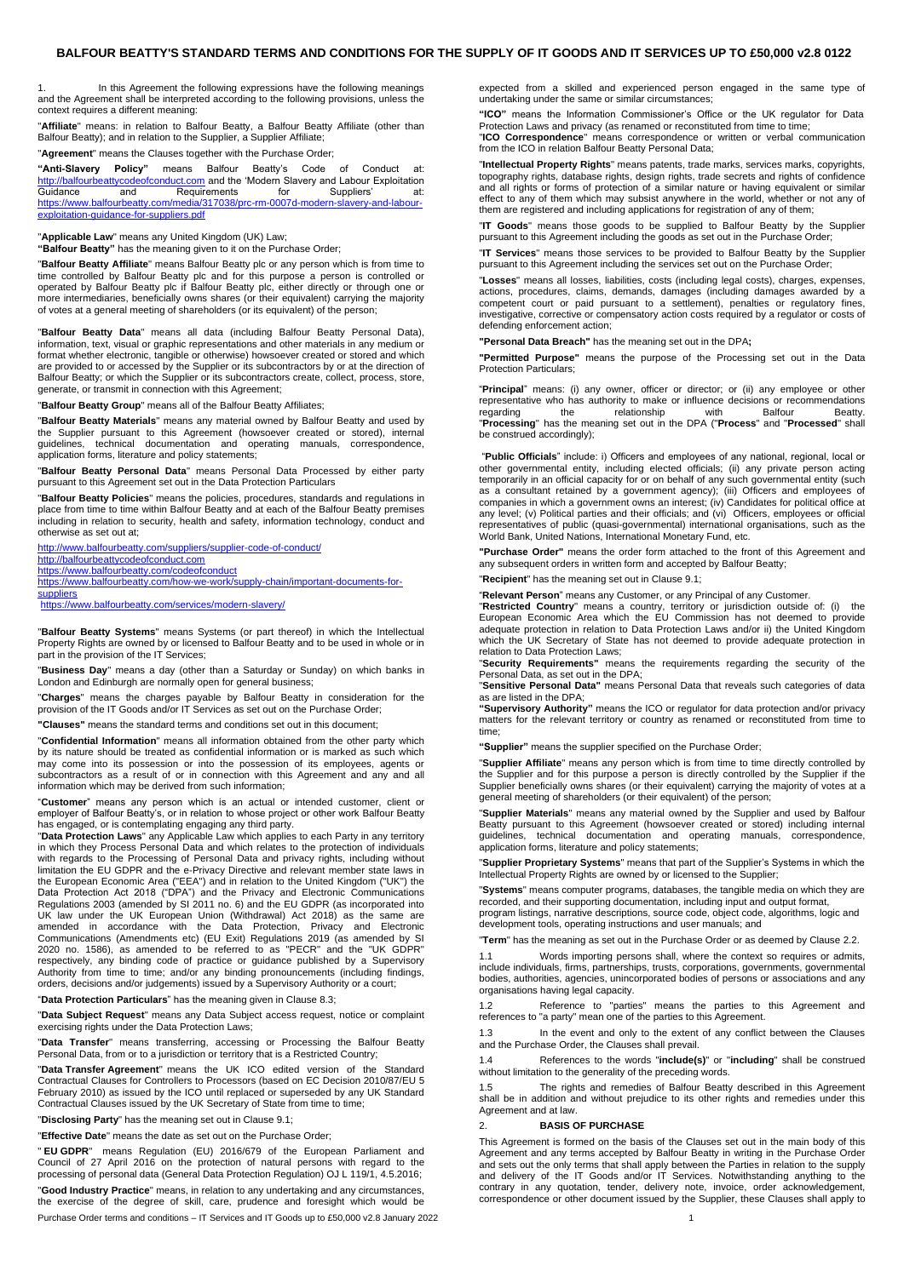<span id="page-0-0"></span>1. In this Agreement the following expressions have the following meanings and the Agreement shall be interpreted according to the following provisions, unless the context requires a different meaning:

"**Affiliate**" means: in relation to Balfour Beatty, a Balfour Beatty Affiliate (other than Balfour Beatty); and in relation to the Supplier, a Supplier Affiliate;

"**Agreement**" means the Clauses together with the Purchase Order;

**"Anti-Slavery Policy"** means Balfour Beatty's Code of Conduct at: [http://balfourbeattycodeofconduct.com](http://balfourbeattycodeofconduct.com/) and the 'Modern Slavery and Labour Exploitation<br>Guidance and Requirements for Suppliers' at: and Requirements for Suppliers' at: [https://www.balfourbeatty.com/media/317038/prc-rm-0007d-modern-slavery-and-labour](https://www.balfourbeatty.com/media/317038/prc-rm-0007d-modern-slavery-and-labour-exploitation-guidance-for-suppliers.pdf)[exploitation-guidance-for-suppliers.pdf](https://www.balfourbeatty.com/media/317038/prc-rm-0007d-modern-slavery-and-labour-exploitation-guidance-for-suppliers.pdf)

"**Applicable Law**" means any United Kingdom (UK) Law; **"Balfour Beatty"** has the meaning given to it on the Purchase Order;

"**Balfour Beatty Affiliate**" means Balfour Beatty plc or any person which is from time to time controlled by Balfour Beatty plc and for this purpose a person is controlled or operated by Balfour Beatty plc if Balfour Beatty plc, either directly or through one or more intermediaries, beneficially owns shares (or their equivalent) carrying the majority of votes at a general meeting of shareholders (or its equivalent) of the person;

"**Balfour Beatty Data**" means all data (including Balfour Beatty Personal Data), information, text, visual or graphic representations and other materials in any medium or format whether electronic, tangible or otherwise) howsoever created or stored and which are provided to or accessed by the Supplier or its subcontractors by or at the direction of Balfour Beatty; or which the Supplier or its subcontractors create, collect, process, store, generate, or transmit in connection with this Agreement;

"**Balfour Beatty Group**" means all of the Balfour Beatty Affiliates;

"**Balfour Beatty Materials**" means any material owned by Balfour Beatty and used by the Supplier pursuant to this Agreement (howsoever created or stored), internal guidelines, technical documentation and operating manuals, correspondence, application forms, literature and policy statements;

"**Balfour Beatty Personal Data**" means Personal Data Processed by either party pursuant to this Agreement set out in the Data Protection Particulars

"**Balfour Beatty Policies**" means the policies, procedures, standards and regulations in place from time to time within Balfour Beatty and at each of the Balfour Beatty premises including in relation to security, health and safety, information technology, conduct and otherwise as set out at;

<http://www.balfourbeatty.com/suppliers/supplier-code-of-conduct/>

[http://balfourbeattycodeofconduct.com](http://balfourbeattycodeofconduct.com/) <https://www.balfourbeatty.com/codeofconduct>

**[suppliers](https://www.balfourbeatty.com/how-we-work/supply-chain/important-documents-for-suppliers)** 

[https://www.balfourbeatty.com/how-we-work/supply-chain/important-documents-for-](https://www.balfourbeatty.com/how-we-work/supply-chain/important-documents-for-suppliers)

<https://www.balfourbeatty.com/services/modern-slavery/>

"**Balfour Beatty Systems**" means Systems (or part thereof) in which the Intellectual Property Rights are owned by or licensed to Balfour Beatty and to be used in whole or in part in the provision of the IT Services;

"**Business Day**" means a day (other than a Saturday or Sunday) on which banks in London and Edinburgh are normally open for general business;

"**Charges**" means the charges payable by Balfour Beatty in consideration for the provision of the IT Goods and/or IT Services as set out on the Purchase Order;

**"Clauses"** means the standard terms and conditions set out in this document;

"**Confidential Information**" means all information obtained from the other party which by its nature should be treated as confidential information or is marked as such which may come into its possession or into the possession of its employees, agents or subcontractors as a result of or in connection with this Agreement and any and all information which may be derived from such information;

"**Customer**" means any person which is an actual or intended customer, client or employer of Balfour Beatty's, or in relation to whose project or other work Balfour Beatty

has engaged, or is contemplating engaging any third party.<br>"**Data Protection Laws**" any Applicable Law which applies to each Party in any territory<br>in which they Process Personal Data and which relates to the protection of with regards to the Processing of Personal Data and privacy rights, including without limitation the EU GDPR and the e-Privacy Directive and relevant member state laws in the European Economic Area ("EEA") and in relation to the United Kingdom ("UK") the Data Protection Act 2018 ("DPA") and the Privacy and Electronic Communications Regulations 2003 (amended by SI 2011 no. 6) and the EU GDPR (as incorporated into UK law under the UK European Union (Withdrawal) Act 2018) as the same are amended in accordance with the Data Protection, Privacy and Electronic<br>Communications (Amendments etc) (EU Exit) Regulations 2019 (as amended by SI<br> respectively, any binding code of practice or guidance published by a Supervisory Authority from time to time; and/or any binding pronouncements (including findings, orders, decisions and/or judgements) issued by a Supervisory Authority or a court;

"**Data Protection Particulars**" has the meaning given in Clause 8.3;

"**Data Subject Request**" means any Data Subject access request, notice or complaint exercising rights under the Data Protection Laws;

"**Data Transfer**" means transferring, accessing or Processing the Balfour Beatty Personal Data, from or to a jurisdiction or territory that is a Restricted Country;

"**Data Transfer Agreement**" means the UK ICO edited version of the Standard Contractual Clauses for Controllers to Processors (based on EC Decision 2010/87/EU 5 February 2010) as issued by the ICO until replaced or superseded by any UK Standard Contractual Clauses issued by the UK Secretary of State from time to time;

"**Disclosing Party**" has the meaning set out in Clause [9.1;](#page-2-0)

"**Effective Date**" means the date as set out on the Purchase Order;

" **EU GDPR**" means Regulation (EU) 2016/679 of the European Parliament and Council of 27 April 2016 on the protection of natural persons with regard to the processing of personal data (General Data Protection Regulation) OJ L 119/1, 4.5.2016;

"**Good Industry Practice**" means, in relation to any undertaking and any circumstances, the exercise of the degree of skill, care, prudence and foresight which would be

Purchase Order terms and conditions – IT Services and IT Goods up to £50,000 v2.8 January 2022 1

expected from a skilled and experienced person engaged in the same type of undertaking under the same or similar circumstances;

**"ICO"** means the Information Commissioner's Office or the UK regulator for Data Protection Laws and privacy (as renamed or reconstituted from time to time; "**ICO Correspondence**" means correspondence or written or verbal communication from the ICO in relation Balfour Beatty Personal Data;

"**Intellectual Property Rights**" means patents, trade marks, services marks, copyrights, topography rights, database rights, design rights, trade secrets and rights of confidence and all rights or forms of protection of a similar nature or having equivalent or similar effect to any of them which may subsist anywhere in the world, whether or not any of them are registered and including applications for registration of any of them;

"**IT Goods**" means those goods to be supplied to Balfour Beatty by the Supplier pursuant to this Agreement including the goods as set out in the Purchase Order;

"**IT Services**" means those services to be provided to Balfour Beatty by the Supplier pursuant to this Agreement including the services set out on the Purchase Order;

"**Losses**" means all losses, liabilities, costs (including legal costs), charges, expenses, actions, procedures, claims, demands, damages (including damages awarded by a competent court or paid pursuant to a settlement), penalties or regulatory fines, investigative, corrective or compensatory action costs required by a regulator or costs of defending enforcement action;

**"Personal Data Breach"** has the meaning set out in the DPA**;** 

**"Permitted Purpose"** means the purpose of the Processing set out in the Data Protection Particulars;

"**Principal**" means: (i) any owner, officer or director; or (ii) any employee or other representative who has authority to make or influence decisions or recommendations<br>regarding the relationship with Balfour Beatty. regarding the relationship with Balfour Beatty. "**Processing**" has the meaning set out in the DPA ("**Process**" and "**Processed**" shall be construed accordingly);

"**Public Officials**" include: i) Officers and employees of any national, regional, local or other governmental entity, including elected officials; (ii) any private person acting temporarily in an official capacity for or on behalf of any such governmental entity (such as a consultant retained by a government agency); (iii) Officers and employees of companies in which a government owns an interest; (iv) Candidates for political office at any level; (v) Political parties and their officials; and (vi) Officers, employees or official representatives of public (quasi-governmental) international organisations, such as the World Bank, United Nations, International Monetary Fund, etc.

**"Purchase Order"** means the order form attached to the front of this Agreement and any subsequent orders in written form and accepted by Balfour Beatty;

"**Recipient**" has the meaning set out in Clause 9.1;

"**Relevant Person**" means any Customer, or any Principal of any Customer.

"**Restricted Country**" means a country, territory or jurisdiction outside of: (i) the European Economic Area which the EU Commission has not deemed to provide adequate protection in relation to Data Protection Laws and/or ii) the United Kingdom which the UK Secretary of State has not deemed to provide adequate protection in relation to Data Protection Laws;

"**Security Requirements"** means the requirements regarding the security of the Personal Data, as set out in the DPA;

"**Sensitive Personal Data"** means Personal Data that reveals such categories of data as are listed in the DPA:

**"Supervisory Authority"** means the ICO or regulator for data protection and/or privacy matters for the relevant territory or country as renamed or reconstituted from time to time;

**"Supplier"** means the supplier specified on the Purchase Order;

"**Supplier Affiliate**" means any person which is from time to time directly controlled by the Supplier and for this purpose a person is directly controlled by the Supplier if the Supplier beneficially owns shares (or their equivalent) carrying the majority of votes at a general meeting of shareholders (or their equivalent) of the person;

"**Supplier Materials**" means any material owned by the Supplier and used by Balfour Beatty pursuant to this Agreement (howsoever created or stored) including internal guidelines, technical documentation and operating manuals, correspondence, application forms, literature and policy statements;

"**Supplier Proprietary Systems**" means that part of the Supplier's Systems in which the Intellectual Property Rights are owned by or licensed to the Supplier;

"**Systems**" means computer programs, databases, the tangible media on which they are recorded, and their supporting documentation, including input and output format, program listings, narrative descriptions, source code, object code, algorithms, logic and development tools, operating instructions and user manuals; and

"**Term**" has the meaning as set out in the Purchase Order or as deemed by Clause 2.2.

1.1 Words importing persons shall, where the context so requires or admits, include individuals, firms, partnerships, trusts, corporations, governments, governmental bodies, authorities, agencies, unincorporated bodies of persons or associations and any organisations having legal capacity.

1.2 Reference to "parties" means the parties to this Agreement and references to "a party" mean one of the parties to this Agreement.

1.3 In the event and only to the extent of any conflict between the Clauses and the Purchase Order, the Clauses shall prevail.

1.4 References to the words "**include(s)**" or "**including**" shall be construed without limitation to the generality of the preceding words.

1.5 The rights and remedies of Balfour Beatty described in this Agreement shall be in addition and without prejudice to its other rights and remedies under this Agreement and at law.

#### 2. **BASIS OF PURCHASE**

This Agreement is formed on the basis of the Clauses set out in the main body of this Agreement and any terms accepted by Balfour Beatty in writing in the Purchase Order and sets out the only terms that shall apply between the Parties in relation to the supply and delivery of the IT Goods and/or IT Services. Notwithstanding anything to the contrary in any quotation, tender, delivery note, invoice, order acknowledgement, correspondence or other document issued by the Supplier, these Clauses shall apply to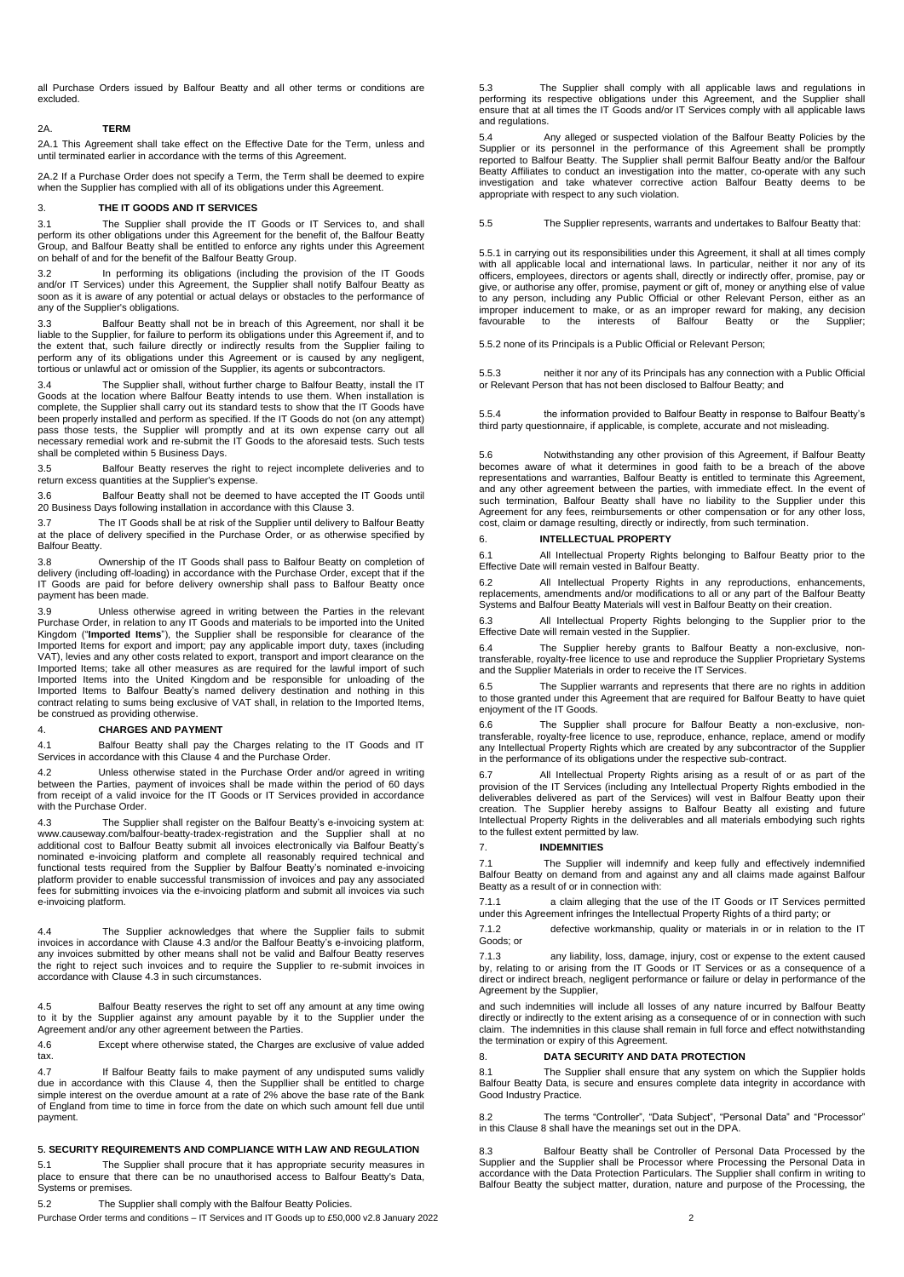all Purchase Orders issued by Balfour Beatty and all other terms or conditions are excluded.

#### 2A. **TERM**

2A.1 This Agreement shall take effect on the Effective Date for the Term, unless and until terminated earlier in accordance with the terms of this Agreement.

2A.2 If a Purchase Order does not specify a Term, the Term shall be deemed to expire when the Supplier has complied with all of its obligations under this Agreement.

## <span id="page-1-0"></span>3. **THE IT GOODS AND IT SERVICES**

<span id="page-1-3"></span>3.1 The Supplier shall provide the IT Goods or IT Services to, and shall perform its other obligations under this Agreement for the benefit of, the Balfour Beatty Group, and Balfour Beatty shall be entitled to enforce any rights under this Agreement on behalf of and for the benefit of the Balfour Beatty Group.

3.2 In performing its obligations (including the provision of the IT Goods and/or IT Services) under this Agreement, the Supplier shall notify Balfour Beatty as soon as it is aware of any potential or actual delays or obstacles to the performance of any of the Supplier's obligations.

3.3 Balfour Beatty shall not be in breach of this Agreement, nor shall it be liable to the Supplier, for failure to perform its obligations under this Agreement if, and to the extent that, such failure directly or indirectly results from the Supplier failing to perform any of its obligations under this Agreement or is caused by any negligent, tortious or unlawful act or omission of the Supplier, its agents or subcontractors.

3.4 The Supplier shall, without further charge to Balfour Beatty, install the IT Goods at the location where Balfour Beatty intends to use them. When installation is complete, the Supplier shall carry out its standard tests to show that the IT Goods have been properly installed and perform as specified. If the IT Goods do not (on any attempt) pass those tests, the Supplier will promptly and at its own expense carry out all necessary remedial work and re-submit the IT Goods to the aforesaid tests. Such tests shall be completed within 5 Business Days.

3.5 Balfour Beatty reserves the right to reject incomplete deliveries and to return excess quantities at the Supplier's expense.

3.6 Balfour Beatty shall not be deemed to have accepted the IT Goods until 20 Business Days following installation in accordance with this Claus[e 3.](#page-1-0)

3.7 The IT Goods shall be at risk of the Supplier until delivery to Balfour Beatty at the place of delivery specified in the Purchase Order, or as otherwise specified by Balfour Beatty.

3.8 Ownership of the IT Goods shall pass to Balfour Beatty on completion of delivery (including off-loading) in accordance with the Purchase Order, except that if the IT Goods are paid for before delivery ownership shall pass to Balfour Beatty once payment has been made.

3.9 Unless otherwise agreed in writing between the Parties in the relevant<br>Purchase Order, in relation to any IT Goods and materials to be imported into the United<br>Kingdom ("**Imported Items**"), the Supplier shall be respon Imported Items for export and import; pay any applicable import duty, taxes (including VAT), levies and any other costs related to export, transport and import clearance on the Imported Items; take all other measures as are required for the lawful import of such Imported Items into the United Kingdom and be responsible for unloading of the<br>Imported Items to Balfour Beatty's named delivery destination and nothing in this<br>contract relating to sums being exclusive of VAT shall, in re be construed as providing otherwise.

#### <span id="page-1-1"></span>4. **CHARGES AND PAYMENT**

4.1 Balfour Beatty shall pay the Charges relating to the IT Goods and IT Services in accordance with this Clause [4](#page-1-1) and the Purchase Order.

4.2 Unless otherwise stated in the Purchase Order and/or agreed in writing between the Parties, payment of invoices shall be made within the period of 60 days from receipt of a valid invoice for the IT Goods or IT Services provided in accordance with the Purchase Order.

4.3 The Supplier shall register on the Balfour Beatty's e-invoicing system at:<br>www.causeway.com/balfour-beatty-tradex-registration and the Supplier shall at no<br>additional cost to Balfour Beatty submit all invoices electron functional tests required from the Supplier by Balfour Beatty's nominated e-invoicing platform provider to enable successful transmission of invoices and pay any associated fees for submitting invoices via the e-invoicing platform and submit all invoices via such e-invoicing platform.

4.4 The Supplier acknowledges that where the Supplier fails to submit invoices in accordance with Clause 4.3 and/or the Balfour Beatty's e-invoicing platform, any invoices submitted by other means shall not be valid and Balfour Beatty reserves the right to reject such invoices and to require the Supplier to re-submit invoices in accordance with Clause 4.3 in such circumstances.

4.5 Balfour Beatty reserves the right to set off any amount at any time owing to it by the Supplier against any amount payable by it to the Supplier under the Agreement and/or any other agreement between the Parties.

4.6 Except where otherwise stated, the Charges are exclusive of value added tax.

4.7 If Balfour Beatty fails to make payment of any undisputed sums validly due in accordance with this Clause 4, then the Suppllier shall be entitled to charge simple interest on the overdue amount at a rate of 2% above the base rate of the Bank of England from time to time in force from the date on which such amount fell due until payment.

#### 5. **SECURITY REQUIREMENTS AND COMPLIANCE WITH LAW AND REGULATION**

5.1 The Supplier shall procure that it has appropriate security measures in place to ensure that there can be no unauthorised access to Balfour Beatty's Data, Systems or premises.

5.2 The Supplier shall comply with the Balfour Beatty Policies.

Purchase Order terms and conditions – IT Services and IT Goods up to £50,000 v2.8 January 2022 2

5.3 The Supplier shall comply with all applicable laws and regulations in performing its respective obligations under this Agreement, and the Supplier shall ensure that at all times the IT Goods and/or IT Services comply with all applicable laws and regulations.

5.4 Any alleged or suspected violation of the Balfour Beatty Policies by the Supplier or its personnel in the performance of this Agreement shall be promptly reported to Balfour Beatty. The Supplier shall permit Balfour Beatty and/or the Balfour Beatty Affiliates to conduct an investigation into the matter, co-operate with any such investigation and take whatever corrective action Balfour Beatty deems to be appropriate with respect to any such violation.

5.5 The Supplier represents, warrants and undertakes to Balfour Beatty that:

5.5.1 in carrying out its responsibilities under this Agreement, it shall at all times comply with all applicable local and international laws. In particular, neither it nor any of its officers, employees, directors or agents shall, directly or indirectly offer, promise, pay or give, or authorise any offer, promise, payment or gift of, money or anything else of value to any person, including any Public Official or other Relevant Person, either as an improper inducement to make, or as an improper reward for making, any decision<br>favourable to the interests of Balfour Beatty or the Supplier; interests of Balfour Beatty

5.5.2 none of its Principals is a Public Official or Relevant Person;

5.5.3 neither it nor any of its Principals has any connection with a Public Official or Relevant Person that has not been disclosed to Balfour Beatty; and

5.5.4 the information provided to Balfour Beatty in response to Balfour Beatty's third party questionnaire, if applicable, is complete, accurate and not misleading.

5.6 Notwithstanding any other provision of this Agreement, if Balfour Beatty becomes aware of what it determines in good faith to be a breach of the above representations and warranties, Balfour Beatty is entitled to terminate this Agreement, and any other agreement between the parties, with immediate effect. In the event of such termination, Balfour Beatty shall have no liability to the Supplier under this Agreement for any fees, reimbursements or other compensation or for any other loss, cost, claim or damage resulting, directly or indirectly, from such termination.

#### <span id="page-1-4"></span>6. **INTELLECTUAL PROPERTY**

6.1 All Intellectual Property Rights belonging to Balfour Beatty prior to the Effective Date will remain vested in Balfour Beatty.

6.2 All Intellectual Property Rights in any reproductions, enhancements,<br>replacements, amendments and/or modifications to all or any part of the Balfour Beatty<br>Systems and Balfour Beatty Materials will vest in Balfour Beat

6.3 All Intellectual Property Rights belonging to the Supplier prior to the Effective Date will remain vested in the Supplier.

6.4 The Supplier hereby grants to Balfour Beatty a non-exclusive, nontransferable, royalty-free licence to use and reproduce the Supplier Proprietary Systems and the Supplier Materials in order to receive the IT Services.

6.5 The Supplier warrants and represents that there are no rights in addition to those granted under this Agreement that are required for Balfour Beatty to have quiet enjoyment of the IT Goods.

6.6 The Supplier shall procure for Balfour Beatty a non-exclusive, non-transferable, royalty-free licence to use, reproduce, enhance, replace, amend or modify any Intellectual Property Rights which are created by any subcontractor of the Supplier in the performance of its obligations under the respective sub-contract.

6.7 All Intellectual Property Rights arising as a result of or as part of the provision of the IT Services (including any Intellectual Property Rights embodied in the deliverables delivered as part of the Services) will vest in Balfour Beatty upon their creation. The Supplier hereby assigns to Balfour Beatty all existing and future Intellectual Property Rights in the deliverables and all materials embodying such rights to the fullest extent permitted by law.

#### <span id="page-1-2"></span>7. **INDEMNITIES**

The Supplier will indemnify and keep fully and effectively indemnified Balfour Beatty on demand from and against any and all claims made against Balfour Beatty as a result of or in connection with:

7.1.1 a claim alleging that the use of the IT Goods or IT Services permitted under this Agreement infringes the Intellectual Property Rights of a third party; or

7.1.2 defective workmanship, quality or materials in or in relation to the IT Goods; or

7.1.3 any liability, loss, damage, injury, cost or expense to the extent caused by, relating to or arising from the IT Goods or IT Services or as a consequence of a direct or indirect breach, negligent performance or failure or delay in performance of the Agreement by the Supplier,

and such indemnities will include all losses of any nature incurred by Balfour Beatty directly or indirectly to the extent arising as a consequence of or in connection with such claim. The indemnities in this clause shall remain in full force and effect notwithstanding the termination or expiry of this Agreement.

#### <span id="page-1-5"></span>8. **DATA SECURITY AND DATA PROTECTION**

8.1 The Supplier shall ensure that any system on which the Supplier holds Balfour Beatty Data, is secure and ensures complete data integrity in accordance with Good Industry Practice.

8.2 The terms "Controller", "Data Subject", "Personal Data" and "Processor" in this Clause 8 shall have the meanings set out in the DPA.

8.3 Balfour Beatty shall be Controller of Personal Data Processed by the Supplier and the Supplier shall be Processor where Processing the Personal Data in accordance with the Data Protection Particulars. The Supplier shall confirm in writing to Balfour Beatty the subject matter, duration, nature and purpose of the Processing, the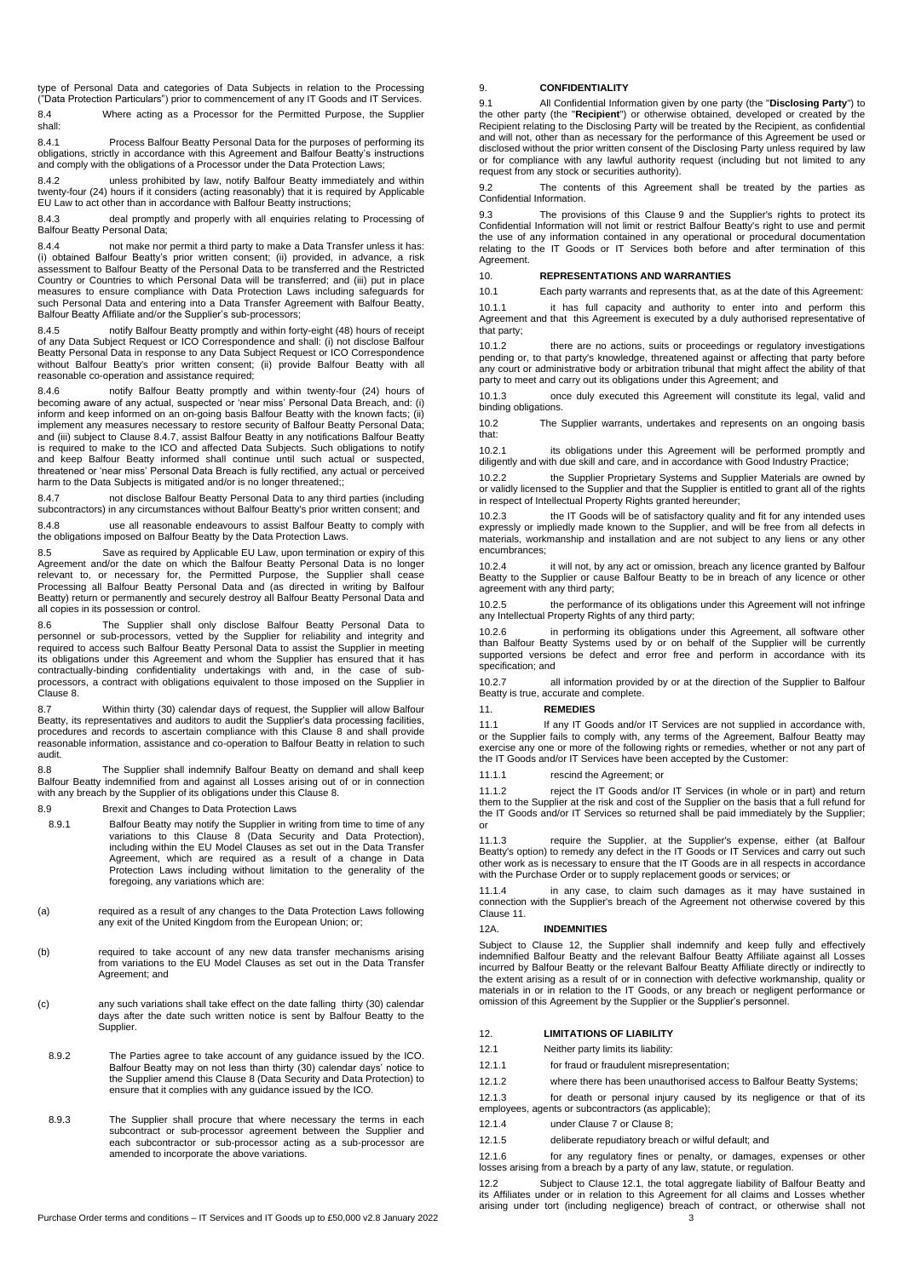type of Personal Data and categories of Data Subjects in relation to the Processing ("Data Protection Particulars") prior to commencement of any IT Goods and IT Services. 8.4 Where acting as a Processor for the Permitted Purpose, the Supplier

shall:

8.4.1 Process Balfour Beatty Personal Data for the purposes of performing its obligations, strictly in accordance with this Agreement and Balfour Beatty's instructions and comply with the obligations of a Processor under the Data Protection Laws;

8.4.2 unless prohibited by law, notify Balfour Beatty immediately and within twenty-four (24) hours if it considers (acting reasonably) that it is required by Applicable EU Law to act other than in accordance with Balfour Beatty instructions;

8.4.3 deal promptly and properly with all enquiries relating to Processing of Balfour Beatty Personal Data;

8.4.4 not make nor permit a third party to make a Data Transfer unless it has: (i) obtained Balfour Beatty's prior written consent; (ii) provided, in advance, a risk assessment to Balfour Beatty of the Personal Data to be transferred and the Restricted Country or Countries to which Personal Data will be transferred; and (iii) put in place measures to ensure compliance with Data Protection Laws including safeguards for such Personal Data and entering into a Data Transfer Agreement with Balfour Beatty, Balfour Beatty Affiliate and/or the Supplier's sub-processors;

8.4.5 notify Balfour Beatty promptly and within forty-eight (48) hours of receipt of any Data Subject Request or ICO Correspondence and shall: (i) not disclose Balfour Beatty Personal Data in response to any Data Subject Request or ICO Correspondence without Balfour Beatty's prior written consent; (ii) provide Balfour Beatty with all reasonable co-operation and assistance required;

8.4.6 notify Balfour Beatty promptly and within twenty-four (24) hours of becoming aware of any actual, suspected or 'near miss' Personal Data Breach, and: (i) inform and keep informed on an on-going basis Balfour Beatty with the known facts; (ii) implement any measures necessary to restore security of Balfour Beatty Personal Data; and (iii) subject to Clause 8.4.7, assist Balfour Beatty in any notifications Balfour Beatty is required to make to the ICO and affected Data Subjects. Such obligations to notify and keep Balfour Beatty informed shall continue until such actual or suspected, threatened or 'near miss' Personal Data Breach is fully rectified, any actual or perceived harm to the Data Subjects is mitigated and/or is no longer threatened:

8.4.7 not disclose Balfour Beatty Personal Data to any third parties (including subcontractors) in any circumstances without Balfour Beatty's prior written consent; and

8.4.8 use all reasonable endeavours to assist Balfour Beatty to comply with the obligations imposed on Balfour Beatty by the Data Protection Laws.

8.5 Save as required by Applicable EU Law, upon termination or expiry of this Agreement and/or the date on which the Balfour Beatty Personal Data is no longer relevant to, or necessary for, the Permitted Purpose, the Supplier shall cease Processing all Balfour Beatty Personal Data and (as directed in writing by Balfour Beatty) return or permanently and securely destroy all Balfour Beatty Personal Data and all copies in its possession or control.

8.6 The Supplier shall only disclose Balfour Beatty Personal Data to<br>personnel or sub-processors, vetted by the Supplier for reliability and integrity and<br>required to access such Balfour Beatty Personal Data to assist the its obligations under this Agreement and whom the Supplier has ensured that it has contractually-binding confidentiality undertakings with and, in the case of sub-processors, a contract with obligations equivalent to those imposed on the Supplier in Clause 8.

8.7 Within thirty (30) calendar days of request, the Supplier will allow Balfour Beatty, its representatives and auditors to audit the Supplier's data processing facilities, procedures and records to ascertain compliance with this Clause 8 and shall provide reasonable information, assistance and co-operation to Balfour Beatty in relation to such audit.

8.8 The Supplier shall indemnify Balfour Beatty on demand and shall keep Balfour Beatty indemnified from and against all Losses arising out of or in connection with any breach by the Supplier of its obligations under this Clause 8.

8.9 Brexit and Changes to Data Protection Laws

- 8.9.1 Balfour Beatty may notify the Supplier in writing from time to time of any variations to this Clause 8 (Data Security and Data Protection), including within the EU Model Clauses as set out in the Data Transfer Agreement, which are required as a result of a change in Data Protection Laws including without limitation to the generality of the foregoing, any variations which are:
- (a) required as a result of any changes to the Data Protection Laws following any exit of the United Kingdom from the European Union; or;
- (b) required to take account of any new data transfer mechanisms arising from variations to the EU Model Clauses as set out in the Data Transfer Agreement; and
- (c) any such variations shall take effect on the date falling thirty (30) calendar days after the date such written notice is sent by Balfour Beatty to the Supplier.
- 8.9.2 The Parties agree to take account of any guidance issued by the ICO. Balfour Beatty may on not less than thirty (30) calendar days' notice to the Supplier amend this Clause 8 (Data Security and Data Protection) to ensure that it complies with any guidance issued by the ICO.
- 8.9.3 The Supplier shall procure that where necessary the terms in each subcontract or sub-processor agreement between the Supplier and each subcontractor or sub-processor acting as a sub-processor are amended to incorporate the above variations.

## <span id="page-2-1"></span>9. **CONFIDENTIALITY**

<span id="page-2-0"></span>9.1 All Confidential Information given by one party (the "**Disclosing Party**") to the other party (the "**Recipient**") or otherwise obtained, developed or created by the Recipient relating to the Disclosing Party will be treated by the Recipient, as confidential and will not, other than as necessary for the performance of this Agreement be used or disclosed without the prior written consent of the Disclosing Party unless required by law or for compliance with any lawful authority request (including but not limited to any request from any stock or securities authority).

9.2 The contents of this Agreement shall be treated by the parties as Confidential Information.

9.3 The provisions of this Clause [9](#page-2-1) and the Supplier's rights to protect its Confidential Information will not limit or restrict Balfour Beatty's right to use and permit the use of any information contained in any operational or procedural documentation relating to the IT Goods or IT Services both before and after termination of this Agreement.

## <span id="page-2-5"></span>10. **REPRESENTATIONS AND WARRANTIES**

10.1 Each party warrants and represents that, as at the date of this Agreement:

10.1.1 it has full capacity and authority to enter into and perform this Agreement and that this Agreement is executed by a duly authorised representative of that party;

10.1.2 there are no actions, suits or proceedings or regulatory investigations <br>pending or, to that party's knowledge, threatened against or affecting that party before any court or administrative body or arbitration tribunal that might affect the ability of that party to meet and carry out its obligations under this Agreement; and

10.1.3 once duly executed this Agreement will constitute its legal, valid and binding obligations.

10.2 The Supplier warrants, undertakes and represents on an ongoing basis that:

10.2.1 its obligations under this Agreement will be performed promptly and diligently and with due skill and care, and in accordance with Good Industry Practice;

10.2.2 the Supplier Proprietary Systems and Supplier Materials are owned by or validly licensed to the Supplier and that the Supplier is entitled to grant all of the rights in respect of Intellectual Property Rights granted hereunder;

10.2.3 the IT Goods will be of satisfactory quality and fit for any intended uses expressly or impliedly made known to the Supplier, and will be free from all defects in materials, workmanship and installation and are not subject to any liens or any other encumbrances;

10.2.4 it will not, by any act or omission, breach any licence granted by Balfour Beatty to the Supplier or cause Balfour Beatty to be in breach of any licence or other agreement with any third party;

10.2.5 the performance of its obligations under this Agreement will not infringe any Intellectual Property Rights of any third party;

10.2.6 in performing its obligations under this Agreement, all software other than Balfour Beatty Systems used by or on behalf of the Supplier will be currently supported versions be defect and error free and perform in accordance with its specification: and

10.2.7 all information provided by or at the direction of the Supplier to Balfour Beatty is true, accurate and complete.

## <span id="page-2-2"></span>11. **REMEDIES**

11.1 If any IT Goods and/or IT Services are not supplied in accordance with, or the Supplier fails to comply with, any terms of the Agreement, Balfour Beatty may<br>or the Supplier fails to comply with, any terms of the Agreement, Balfour Beatty may exercise any one or more of the following rights or remedies, whether or not any part of the IT Goods and/or IT Services have been accepted by the Customer:

11.1.1 rescind the Agreement; or

11.1.2 reject the IT Goods and/or IT Services (in whole or in part) and return them to the Supplier at the risk and cost of the Supplier on the basis that a full refund for the IT Goods and/or IT Services so returned shall be paid immediately by the Supplier; or

11.1.3 require the Supplier, at the Supplier's expense, either (at Balfour et al.<br>Beatty's option) to remedy any defect in the IT Goods or IT Services and carry out such other work as is necessary to ensure that the IT Goods are in all respects in accordance with the Purchase Order or to supply replacement goods or services; or

11.1.4 in any case, to claim such damages as it may have sustained in connection with the Supplier's breach of the Agreement not otherwise covered by this Claus[e 11.](#page-2-2)

#### 12A. **INDEMNITIES**

Subject to Clause 12, the Supplier shall indemnify and keep fully and effectively indemnified Balfour Beatty and the relevant Balfour Beatty Affiliate against all Losses incurred by Balfour Beatty or the relevant Balfour Beatty Affiliate directly or indirectly to the extent arising as a result of or in connection with defective workmanship, quality or materials in or in relation to the IT Goods, or any breach or negligent performance or omission of this Agreement by the Supplier or the Supplier's personnel.

#### <span id="page-2-6"></span>12. **LIMITATIONS OF LIABILITY**

<span id="page-2-3"></span>12.1 Neither party limits its liability:

- <span id="page-2-4"></span>12.1.1 for fraud or fraudulent misrepresentation;
- 12.1.2 where there has been unauthorised access to Balfour Beatty Systems;

12.1.3 for death or personal injury caused by its negligence or that of its employees, agents or subcontractors (as applicable);

12.1.4 under Clause [7](#page-1-2) or Clause 8;

12.1.5 deliberate repudiatory breach or wilful default; and

12.1.6 for any regulatory fines or penalty, or damages, expenses or other losses arising from a breach by a party of any law, statute, or regulation.

12.2 Subject to Clause [12.1,](#page-2-3) the total aggregate liability of Balfour Beatty and its Affiliates under or in relation to this Agreement for all claims and Losses whether arising under tort (including negligence) breach of contract, or otherwise shall not